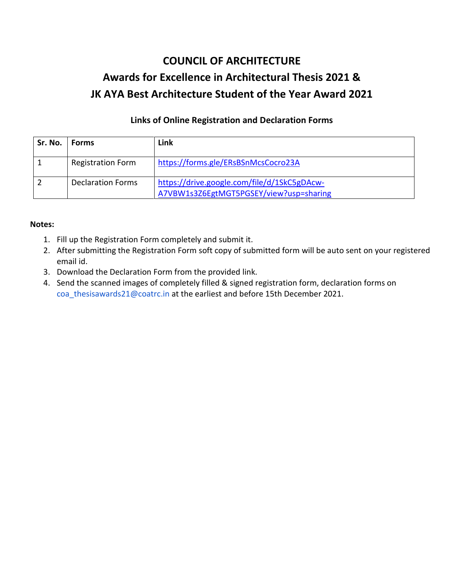# **COUNCIL OF ARCHITECTURE Awards for Excellence in Architectural Thesis 2021 & JK AYA Best Architecture Student of the Year Award 2021**

### **Links of Online Registration and Declaration Forms**

| Sr. No. | Forms                    | Link                                                                                   |
|---------|--------------------------|----------------------------------------------------------------------------------------|
|         | <b>Registration Form</b> | https://forms.gle/ERsBSnMcsCocro23A                                                    |
|         | <b>Declaration Forms</b> | https://drive.google.com/file/d/1SkC5gDAcw-<br>A7VBW1s3Z6EgtMGT5PGSEY/view?usp=sharing |

#### **Notes:**

- 1. Fill up the Registration Form completely and submit it.
- 2. After submitting the Registration Form soft copy of submitted form will be auto sent on your registered email id.
- 3. Download the Declaration Form from the provided link.
- 4. Send the scanned images of completely filled & signed registration form, declaration forms on coa\_thesisawards21@coatrc.in at the earliest and before 15th December 2021.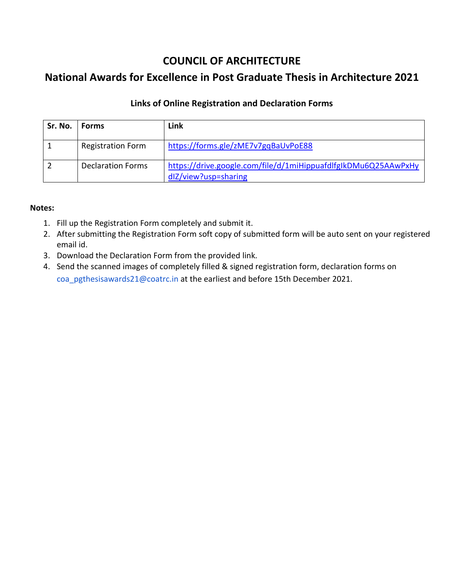## **COUNCIL OF ARCHITECTURE**

# **National Awards for Excellence in Post Graduate Thesis in Architecture 2021**

### **Links of Online Registration and Declaration Forms**

| Sr. No. | <b>Forms</b>             | Link                                                                                   |
|---------|--------------------------|----------------------------------------------------------------------------------------|
|         | <b>Registration Form</b> | https://forms.gle/zME7v7gqBaUvPoE88                                                    |
|         | <b>Declaration Forms</b> | https://drive.google.com/file/d/1miHippuafdlfglkDMu6Q25AAwPxHy<br>dlZ/view?usp=sharing |

#### **Notes:**

- 1. Fill up the Registration Form completely and submit it.
- 2. After submitting the Registration Form soft copy of submitted form will be auto sent on your registered email id.
- 3. Download the Declaration Form from the provided link.
- 4. Send the scanned images of completely filled & signed registration form, declaration forms on coa\_pgthesisawards21@coatrc.in at the earliest and before 15th December 2021.